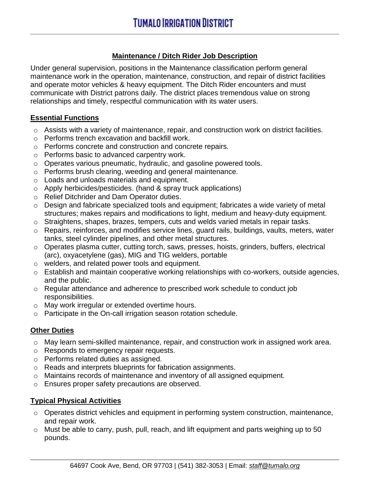# **Maintenance / Ditch Rider Job Description**

Under general supervision, positions in the Maintenance classification perform general maintenance work in the operation, maintenance, construction, and repair of district facilities and operate motor vehicles & heavy equipment. The Ditch Rider encounters and must communicate with District patrons daily. The district places tremendous value on strong relationships and timely, respectful communication with its water users.

#### **Essential Functions**

- o Assists with a variety of maintenance, repair, and construction work on district facilities.
- o Performs trench excavation and backfill work.
- o Performs concrete and construction and concrete repairs.
- o Performs basic to advanced carpentry work.
- o Operates various pneumatic, hydraulic, and gasoline powered tools.
- o Performs brush clearing, weeding and general maintenance.
- o Loads and unloads materials and equipment.
- o Apply herbicides/pesticides. (hand & spray truck applications)
- o Relief Ditchrider and Dam Operator duties.
- o Design and fabricate specialized tools and equipment; fabricates a wide variety of metal structures; makes repairs and modifications to light, medium and heavy-duty equipment.
- o Straightens, shapes, brazes, tempers, cuts and welds varied metals in repair tasks.
- o Repairs, reinforces, and modifies service lines, guard rails, buildings, vaults, meters, water tanks, steel cylinder pipelines, and other metal structures.
- o Operates plasma cutter, cutting torch, saws, presses, hoists, grinders, buffers, electrical (arc), oxyacetylene (gas), MIG and TIG welders, portable
- o welders, and related power tools and equipment.
- o Establish and maintain cooperative working relationships with co-workers, outside agencies, and the public.
- o Regular attendance and adherence to prescribed work schedule to conduct job responsibilities.
- o May work irregular or extended overtime hours.
- o Participate in the On-call irrigation season rotation schedule.

### **Other Duties**

- o May learn semi-skilled maintenance, repair, and construction work in assigned work area.
- o Responds to emergency repair requests.
- o Performs related duties as assigned.
- o Reads and interprets blueprints for fabrication assignments.
- o Maintains records of maintenance and inventory of all assigned equipment.
- o Ensures proper safety precautions are observed.

# **Typical Physical Activities**

- $\circ$  Operates district vehicles and equipment in performing system construction, maintenance, and repair work.
- o Must be able to carry, push, pull, reach, and lift equipment and parts weighing up to 50 pounds.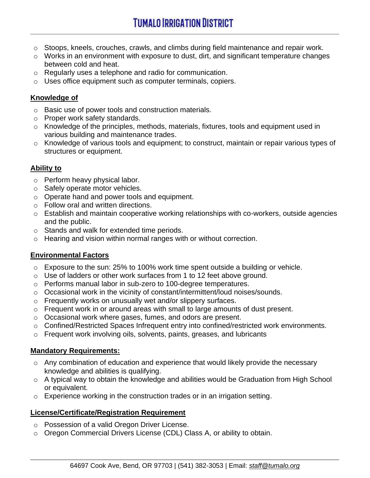- o Stoops, kneels, crouches, crawls, and climbs during field maintenance and repair work.
- o Works in an environment with exposure to dust, dirt, and significant temperature changes between cold and heat.
- o Regularly uses a telephone and radio for communication.
- o Uses office equipment such as computer terminals, copiers.

### **Knowledge of**

- o Basic use of power tools and construction materials.
- o Proper work safety standards.
- o Knowledge of the principles, methods, materials, fixtures, tools and equipment used in various building and maintenance trades.
- o Knowledge of various tools and equipment; to construct, maintain or repair various types of structures or equipment.

### **Ability to**

- o Perform heavy physical labor.
- o Safely operate motor vehicles.
- o Operate hand and power tools and equipment.
- o Follow oral and written directions.
- o Establish and maintain cooperative working relationships with co-workers, outside agencies and the public.
- o Stands and walk for extended time periods.
- o Hearing and vision within normal ranges with or without correction.

### **Environmental Factors**

- o Exposure to the sun: 25% to 100% work time spent outside a building or vehicle.
- o Use of ladders or other work surfaces from 1 to 12 feet above ground.
- o Performs manual labor in sub-zero to 100-degree temperatures.
- o Occasional work in the vicinity of constant/intermittent/loud noises/sounds.
- o Frequently works on unusually wet and/or slippery surfaces.
- o Frequent work in or around areas with small to large amounts of dust present.
- o Occasional work where gases, fumes, and odors are present.
- o Confined/Restricted Spaces Infrequent entry into confined/restricted work environments.
- o Frequent work involving oils, solvents, paints, greases, and lubricants

### **Mandatory Requirements:**

- $\circ$  Any combination of education and experience that would likely provide the necessary knowledge and abilities is qualifying.
- o A typical way to obtain the knowledge and abilities would be Graduation from High School or equivalent.
- $\circ$  Experience working in the construction trades or in an irrigation setting.

### **License/Certificate/Registration Requirement**

- o Possession of a valid Oregon Driver License.
- o Oregon Commercial Drivers License (CDL) Class A, or ability to obtain.